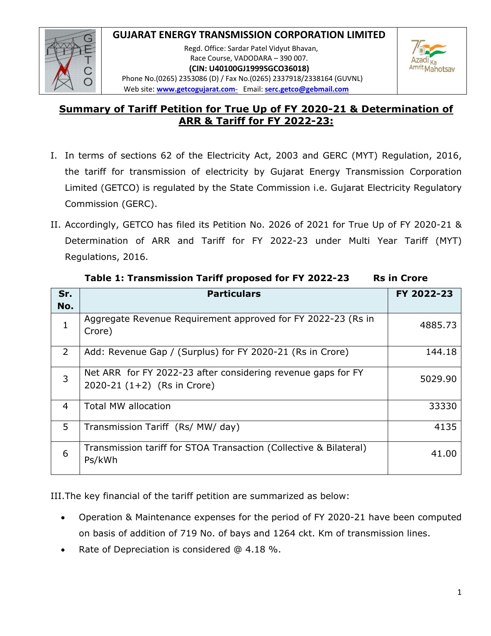## **GUJARAT ENERGY TRANSMISSION CORPORATION LIMITED**



 Regd. Office: Sardar Patel Vidyut Bhavan, Race Course, VADODARA – 390 007. **(CIN: U40100GJ1999SGCO36018)** Phone No.(0265) 2353086 (D) / Fax No.(0265) 2337918/2338164 (GUVNL) Web site: **www.getcogujarat.com**‐Email: **serc.getco@gebmail.com**



# **Summary of Tariff Petition for True Up of FY 2020-21 & Determination of ARR & Tariff for FY 2022-23:**

- I. In terms of sections 62 of the Electricity Act, 2003 and GERC (MYT) Regulation, 2016, the tariff for transmission of electricity by Gujarat Energy Transmission Corporation Limited (GETCO) is regulated by the State Commission i.e. Gujarat Electricity Regulatory Commission (GERC).
- II. Accordingly, GETCO has filed its Petition No. 2026 of 2021 for True Up of FY 2020-21 & Determination of ARR and Tariff for FY 2022-23 under Multi Year Tariff (MYT) Regulations, 2016.

| Sr.            | <b>Particulars</b>                                                                            | FY 2022-23 |
|----------------|-----------------------------------------------------------------------------------------------|------------|
| No.            |                                                                                               |            |
|                | Aggregate Revenue Requirement approved for FY 2022-23 (Rs in<br>Crore)                        | 4885.73    |
| 2              | Add: Revenue Gap / (Surplus) for FY 2020-21 (Rs in Crore)                                     | 144.18     |
| 3              | Net ARR for FY 2022-23 after considering revenue gaps for FY<br>2020-21 $(1+2)$ (Rs in Crore) | 5029.90    |
| $\overline{4}$ | <b>Total MW allocation</b>                                                                    | 33330      |
| 5              | Transmission Tariff (Rs/ MW/ day)                                                             | 4135       |
| 6              | Transmission tariff for STOA Transaction (Collective & Bilateral)<br>Ps/kWh                   | 41.00      |

**Table 1: Transmission Tariff proposed for FY 2022-23 Rs in Crore** 

III.The key financial of the tariff petition are summarized as below:

- Operation & Maintenance expenses for the period of FY 2020-21 have been computed on basis of addition of 719 No. of bays and 1264 ckt. Km of transmission lines.
- Rate of Depreciation is considered @ 4.18 %.